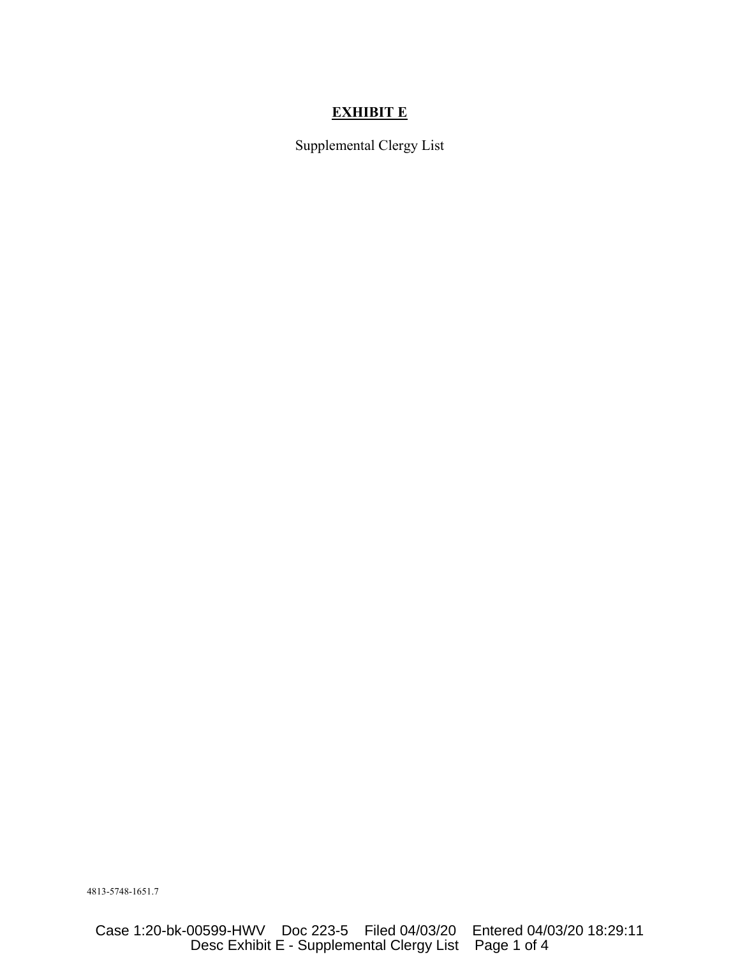# **EXHIBIT E**

Supplemental Clergy List

4813-5748-1651.7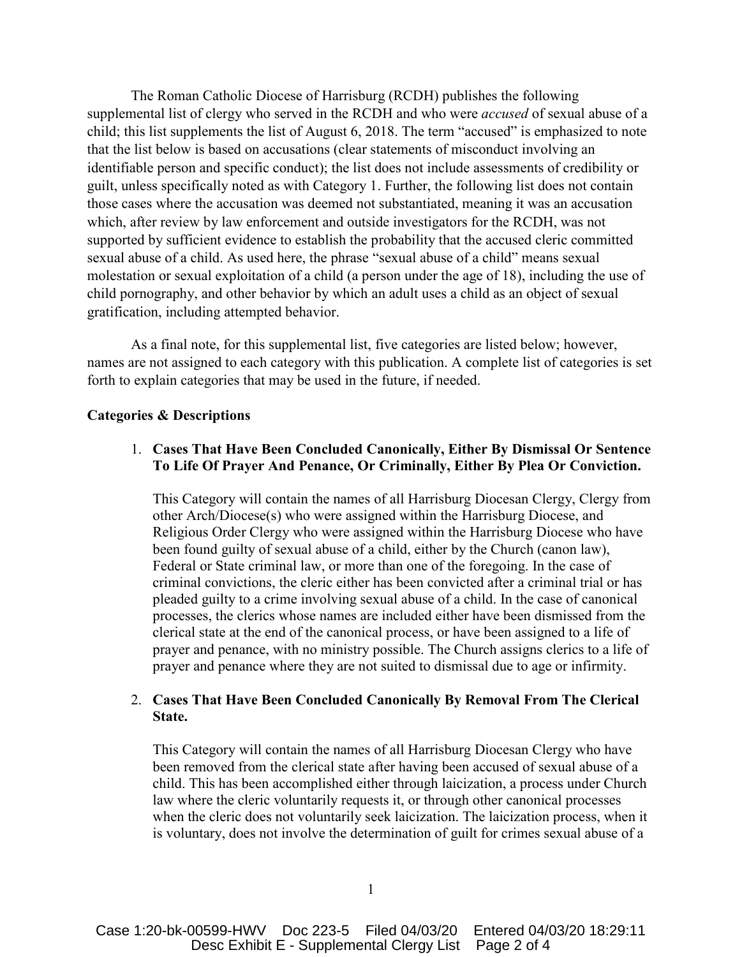The Roman Catholic Diocese of Harrisburg (RCDH) publishes the following supplemental list of clergy who served in the RCDH and who were *accused* of sexual abuse of a child; this list supplements the list of August 6, 2018. The term "accused" is emphasized to note that the list below is based on accusations (clear statements of misconduct involving an identifiable person and specific conduct); the list does not include assessments of credibility or guilt, unless specifically noted as with Category 1. Further, the following list does not contain those cases where the accusation was deemed not substantiated, meaning it was an accusation which, after review by law enforcement and outside investigators for the RCDH, was not supported by sufficient evidence to establish the probability that the accused cleric committed sexual abuse of a child. As used here, the phrase "sexual abuse of a child" means sexual molestation or sexual exploitation of a child (a person under the age of 18), including the use of child pornography, and other behavior by which an adult uses a child as an object of sexual gratification, including attempted behavior.

As a final note, for this supplemental list, five categories are listed below; however, names are not assigned to each category with this publication. A complete list of categories is set forth to explain categories that may be used in the future, if needed.

## **Categories & Descriptions**

## 1. **Cases That Have Been Concluded Canonically, Either By Dismissal Or Sentence To Life Of Prayer And Penance, Or Criminally, Either By Plea Or Conviction.**

This Category will contain the names of all Harrisburg Diocesan Clergy, Clergy from other Arch/Diocese(s) who were assigned within the Harrisburg Diocese, and Religious Order Clergy who were assigned within the Harrisburg Diocese who have been found guilty of sexual abuse of a child, either by the Church (canon law), Federal or State criminal law, or more than one of the foregoing. In the case of criminal convictions, the cleric either has been convicted after a criminal trial or has pleaded guilty to a crime involving sexual abuse of a child. In the case of canonical processes, the clerics whose names are included either have been dismissed from the clerical state at the end of the canonical process, or have been assigned to a life of prayer and penance, with no ministry possible. The Church assigns clerics to a life of prayer and penance where they are not suited to dismissal due to age or infirmity.

## 2. **Cases That Have Been Concluded Canonically By Removal From The Clerical State.**

This Category will contain the names of all Harrisburg Diocesan Clergy who have been removed from the clerical state after having been accused of sexual abuse of a child. This has been accomplished either through laicization, a process under Church law where the cleric voluntarily requests it, or through other canonical processes when the cleric does not voluntarily seek laicization. The laicization process, when it is voluntary, does not involve the determination of guilt for crimes sexual abuse of a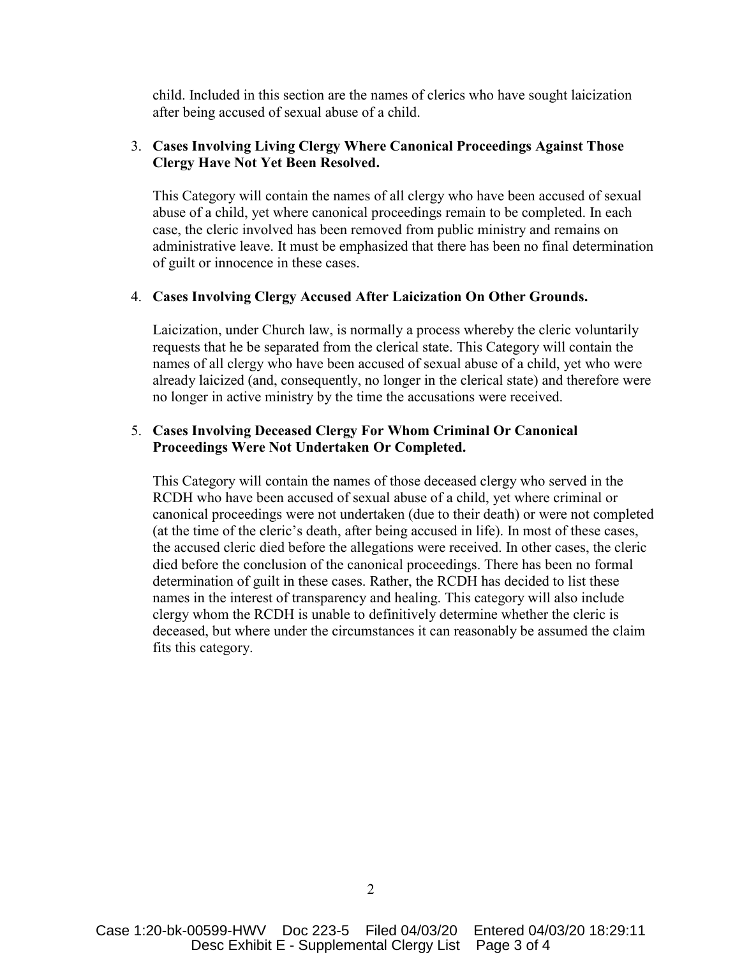child. Included in this section are the names of clerics who have sought laicization after being accused of sexual abuse of a child.

### 3. **Cases Involving Living Clergy Where Canonical Proceedings Against Those Clergy Have Not Yet Been Resolved.**

This Category will contain the names of all clergy who have been accused of sexual abuse of a child, yet where canonical proceedings remain to be completed. In each case, the cleric involved has been removed from public ministry and remains on administrative leave. It must be emphasized that there has been no final determination of guilt or innocence in these cases.

#### 4. **Cases Involving Clergy Accused After Laicization On Other Grounds.**

Laicization, under Church law, is normally a process whereby the cleric voluntarily requests that he be separated from the clerical state. This Category will contain the names of all clergy who have been accused of sexual abuse of a child, yet who were already laicized (and, consequently, no longer in the clerical state) and therefore were no longer in active ministry by the time the accusations were received.

### 5. **Cases Involving Deceased Clergy For Whom Criminal Or Canonical Proceedings Were Not Undertaken Or Completed.**

This Category will contain the names of those deceased clergy who served in the RCDH who have been accused of sexual abuse of a child, yet where criminal or canonical proceedings were not undertaken (due to their death) or were not completed (at the time of the cleric's death, after being accused in life). In most of these cases, the accused cleric died before the allegations were received. In other cases, the cleric died before the conclusion of the canonical proceedings. There has been no formal determination of guilt in these cases. Rather, the RCDH has decided to list these names in the interest of transparency and healing. This category will also include clergy whom the RCDH is unable to definitively determine whether the cleric is deceased, but where under the circumstances it can reasonably be assumed the claim fits this category.